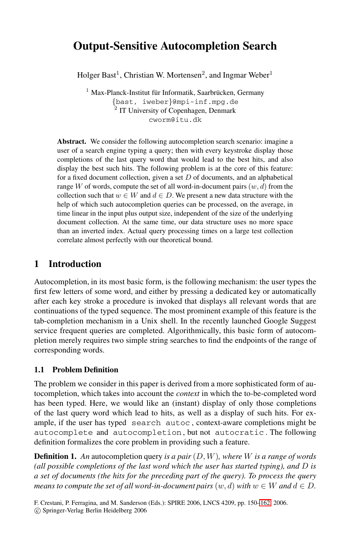# **Output-Sensitive Autocompletion Search**

Holger Bast<sup>1</sup>, Christian W. Mortensen<sup>2</sup>, and Ingmar Weber<sup>1</sup>

 $1$  Max-Planck-Institut für Informatik, Saarbrücken, Germany {bast, iweber}@mpi-inf.mpg.de  $2$  IT University of Copenhagen, Denmark cworm@itu.dk

**Abstract.** We consider the following autocompletion search scenario: imagine a user of a search engine typing a query; then with every keystroke display those completions of the last query word that would lead to the best hits, and also display the best such hits. The following problem is at the core of this feature: for a fixed document collection, given a set  $D$  of documents, and an alphabetical range W of words, compute the set of all word-in-document pairs  $(w, d)$  from the collection such that  $w \in W$  and  $d \in D$ . We present a new data structure with the help of which such autocompletion queries can be processed, on the average, in time linear in the input plus output size, independent of the size of the underlying document collection. At the same time, our data structure uses no more space than an inverted index. Actual query processing times on a large test collection correlate almost perfectly with our theoretical bound.

### **1 Introduction**

Autocompletion, in its most basic form, is the following mechanism: the user types the first few letters of some word, and either by pressing a dedicated key or automatically after each key stroke a procedure is invoked that displays all relevant words that are continuations of the typed sequence. The most prominent example of this feature is the tab-completion mechanism in a Unix shell. In the recently launched Google Suggest service frequent queries are completed. Algorithmically, this basic form of autocompletion merely requires two simple string searches to find the endpoints of the range of corresponding words.

## **1.1 Problem Definition**

<span id="page-0-0"></span>The problem we consider in this paper is derived from a more sophisticated form of autocompletion, which takes into account the *context* in which the to-be-completed word has been typed. Here, we would like an (instant) display of only those completions of the last query word which lead to hits, as well as a display of such hits. For example, if the user has typed search autoc [, co](#page-11-0)ntext-aware completions might be autocomplete and autocompletion , but not autocratic . The following definition formalizes the core problem in providing such a feature.

**Definition 1.** *An* autocompletion query *is a pair* (D,W)*, where* W *is a range of words (all possible completions of the last word which the user has started typing), and* D *is a set of documents (the hits for the preceding part of the query). To process the query means to compute the set of all word-in-document pairs*  $(w, d)$  *with*  $w \in W$  *and*  $d \in D$ .

F. Crestani, P. Ferragina, and M. Sanderson (Eds.): SPIRE 2006, LNCS 4209, pp. 150–162, 2006. -c Springer-Verlag Berlin Heidelberg 2006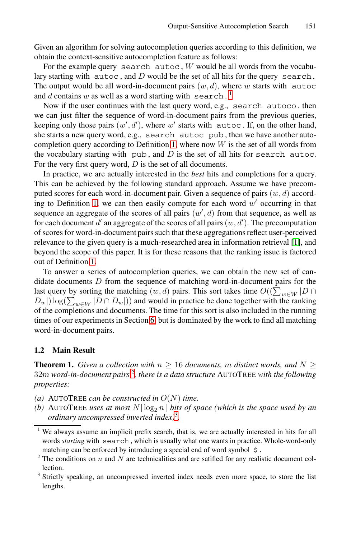Given an algorithm for solving autocompletion queries according to this definition, we obtain the context-sensitive autocompletion feature as follows:

For the example q[ue](#page-0-0)ry search autoc,  $W$  would be all words from the vocabulary starting with  $\alpha$ utoc, and D would be the set of all hits for the query search. The output would be all word-in-document pairs  $(w, d)$ , where w starts with autoc and  $d$  contains  $w$  as well as a word starting with search.<sup>1</sup>

Now if the user continues with the last query word, e.g., search autoco , then we can just filter the sequence of word-in-document pairs from the previous queries, keeping only those pairs  $(w', d')$ , where w' starts with autoc. If, on the other hand, she starts a new query word, e.g., search autoc pub , then we have another autocompletion query according to Definition 1, where now  $W$  is the set of all words from the vocabulary starting with pub, and  $D$  is the set of all hits for search autoc. For the very first query word,  $D$  is the set of all documents[.](#page-10-0)

In practice, we are actually interested in the *best* hits and completions for a query. This can be achieved by the following standard approach. Assume we have precomputed scores for each word-in-document pair. Given a sequence of pairs  $(w, d)$  according to Definition 1, we can then easily compute for each word  $w'$  occurring in that sequence an aggregate of the scores of all pairs  $(w', d)$  from that sequence, as well as for each document d' an aggregate of the scores of all pairs  $(w, d')$ . The precomputation of scores for word-in-document pairs such that these aggregations reflect user-perceived relevance to th[e g](#page-8-0)iven query is a much-researched area in information retrieval [1], and beyond the scope of this paper. It is for these reasons that the ranking issue is factored out of Definition 1.

<span id="page-1-1"></span>To answer a series of autocompletion queries, we can obtain the new set of candidate documents D from the sequence of matching word-in-document pairs for the last query by sorting the matching  $(w, d)$  pairs. This sort takes time  $O((\sum_{w \in W} |D \cap D|))$  $D_w$   $\log(\sum_{w \in W} |D \cap D_w|)$  $\log(\sum_{w \in W} |D \cap D_w|)$  $\log(\sum_{w \in W} |D \cap D_w|)$  and would in practice be done together with the ranking of the completions and documents. The time for this sort is also included in the running times of our experiments in Section 6, but is dominated by the work to find all matching word-in-document pairs.

### **1.2 Main Result**

**Theorem 1.** *Given a collection with*  $n \geq 16$  *documents, m distinct words, and*  $N \geq$ 32m *word-in-document pairs* <sup>2</sup>*, there is a data structure* AUTOTREE *with the following properties:*

- <span id="page-1-0"></span>*(a)* AUTOTREE *can be constructed in* O(N) *time.*
- *(b)* AUTOTREE *uses at most*  $N[\log_2 n]$  *bits of space (which is the space used by an ordinary uncompressed inverted index)*<sup>3</sup>*.*

<sup>&</sup>lt;sup>1</sup> We always assume an implicit prefix search, that is, we are actually interested in hits for all words *starting* with search , which is usually what one wants in practice. Whole-word-only matching can be enforced by introducing a special end of word symbol  $\sharp$ .

<sup>&</sup>lt;sup>2</sup> The conditions on *n* and *N* are technicalities and are satified for any realistic document collection.

<sup>&</sup>lt;sup>3</sup> Strictly speaking, an uncompressed inverted index needs even more space, to store the list lengths.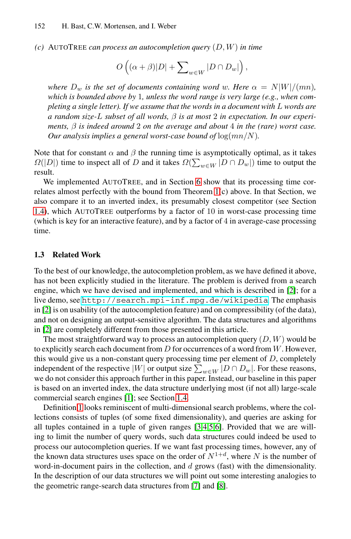*(c)* AUTOTREE *can process an autocompletion query* (D,W) *in time*

$$
O\left((\alpha+\beta)|D|+\sum_{w\in W}|D\cap D_w|\right)
$$

,

*where*  $D_w$  *is the set of documents containing word* w. Here  $\alpha = N|W|/(mn)$ , *which is bounded above by* 1*, unless the word range is very large (e.g., when completing a single letter). If [w](#page-8-0)e assume that the words in a document with* L *words are a random size-*L *subset of all [wo](#page-1-1)rds,* β *is at most* 2 *in expectation. In our experiments,* β *is indeed around* 2 *on the average and about* 4 *in the (rare) worst case. Our analysis implies a general worst-case bound of* log(mn/N)*.*

Note that for constant  $\alpha$  and  $\beta$  the running time is asymptotically optimal, as it takes  $\Omega(|D|)$  time to inspect all of D and it takes  $\Omega(\sum_{w \in W} |D \cap D_w|)$  time to output the result.

We implemented AUTOTREE, and in Section 6 show that its processing time correlates almost perfectly with the bound from Theorem  $1(c)$  above. In that Section, we also compare it to an inverted index, its presumably closest competitor (see Section 1.4), which AUTOTREE outperforms by a factor of 10 i[n w](#page-10-1)orst-case processing time [\(which is key for an interactive feature\), and by a fac](http://search.mpi-inf.mpg.de/wikipedia)tor of 4 in average-case processing time.

#### **1.3 Related Work**

To the best of our knowledge, the autocompletion problem, as we have defined it above, has not been explicitly studied in the literature. The problem is derived from a search engine, which we have devised and implemented, and which is described in [2]; for a live demo, see http://search.mpi-inf.mpg.de/wikipedia. The emphasis in [2] is on usability (of the autocompletion feature) and on compressibility (of the data), and not [on](#page-10-0) designing a[n ou](#page-3-0)tput-sensitive algorithm. The data structures and algorithms in [2] are completely different from those presented in this article.

The most straightforward way to process an autocompletion query  $(D, W)$  would be to explicitly search each doc[um](#page-10-2)[e](#page-10-3)[nt](#page-10-4) [fro](#page-11-1)m  $D$  for occurrences of a word from  $W$ . However, this would give us a non-constant query processing time per element of  $D$ , completely independent of the respective |W| or output size  $\sum_{w \in W} |D \cap D_w|$ . For these reasons, we do not consider this approach further in this paper. Instead, our baseline in this paper is based on an inverted index, the data structure underlying most (if not all) large-scale commercial search engines [1]; see Section 1.4.

Definition 1 looks remini[sce](#page-11-2)nt of [m](#page-11-3)ulti-dimensional search problems, where the collections consists of tuples (of some fixed dimensionality), and queries are asking for all tuples contained in a tuple of given ranges [3,4,5,6]. Provided that we are willing to limit the number of query words, such data structures could indeed be used to process our autocompletion queries. If we want fast processing times, however, any of the known data structures uses space on the order of  $N^{1+d}$ , where N is the number of word-in-document pairs in the collection, and  $d$  grows (fast) with the dimensionality. In the description of our data structures we will point out some interesting analogies to the geometric range-search data structures from [7] and [8].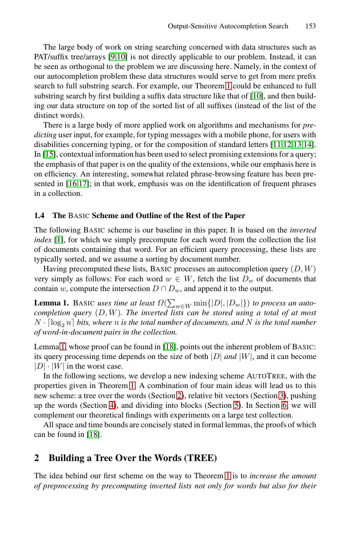The large body of work on string searching concerned with data structures such as PAT/suffix tree/arrays [9,10] is not directly applicable to our problem. Instead, it can be seen as orthogonal to the problem we are discuss[ing](#page-11-5) [he](#page-11-6)[re.](#page-11-7) [Nam](#page-11-8)ely, in the context of our autocompletion problem these data structures would serve to get from mere prefix search to full substring search. For example, our Theorem 1 could be enhanced to full substring search by first building a suffix data structure like that of [10], and then building our data structure on top of the sorted list of all suffixes (instead of the list of the distinct words).

<span id="page-3-0"></span>There is a large body of more applied work on algorithms and mechanisms for *predicting* user input, for example, for typing messages with a mobile phone, for users with disabilities concerning typing, or for the composition of standard letters [11,12,13,14]. In [15], contextual information has been used to select promising extensions for a query; the emphasis of that paper is on the quality of the extensions, while our emphasis here is on efficiency. An interesting, somewhat related phrase-browsing feature has been presented in [16,17]; in that work, emphasis was on the identification of frequent phrases in a collection.

### **1.4 The** BASIC **Scheme and Outline of the Rest of the Paper**

The following BASIC scheme is our baseline in this paper. It is based on the *inverted index* [1], for which we simply precompute for each word from the collection the list of documents containing that word. For an efficient query processing, these lists are typically sorted, and we assume a sorting by document number.

Having precom[pute](#page-11-9)d these lists, BASIC processes an autocompletion query  $(D, W)$ very simply as follows: For each word  $w \in W$ , fetch the list  $D_w$  of documents that contain w, compute the intersection  $D \cap D_w$ , and append it to the output.

**Lemma 1.** BASIC *uses time at least*  $\Omega(\sum_{w \in W} \min\{|D|, |D_w|\})$  *to process an autocompleti[on](#page-1-1) query* (D,W)*. The inverted lists can be stored using a total of at most*  $N \cdot \left[\log_2 n\right]$  $N \cdot \left[\log_2 n\right]$  $N \cdot \left[\log_2 n\right]$  $N \cdot \left[\log_2 n\right]$  $N \cdot \left[\log_2 n\right]$  bits, where n is the total number of docu[me](#page-5-0)nts, and N is the total number *of [w](#page-6-0)ord-in-document pairs in the collect[ion](#page-8-1).*

Lemma 1, whose proof can be found in [18], points out the inherent problem of BASIC: its query processing time depends on the size of both |D| *and* |W|, and it can become  $|D|\cdot|W|$  in the worst case.

<span id="page-3-1"></span>In the following sections, we develop a new indexing scheme AUTOTREE, with the properties given in Theorem 1. A combination of four main ideas will lead us to this new scheme: a tree over the words (S[ect](#page-1-1)ion 2), relative bit vectors (Section 3), pushing up the words (Section 4), and dividing into blocks (Section 5). In Section 6, we will complement our theoretical findings with experiments on a large test collection.

All space and time bounds are concisely stated in formal lemmas, the proofs of which can be found in [18].

### **2 Building a Tree Over the Words (TREE)**

The idea behind our first scheme on the way to Theorem 1 is to *increase the amount of preprocessing by precomputing inverted lists not only for words but also for their*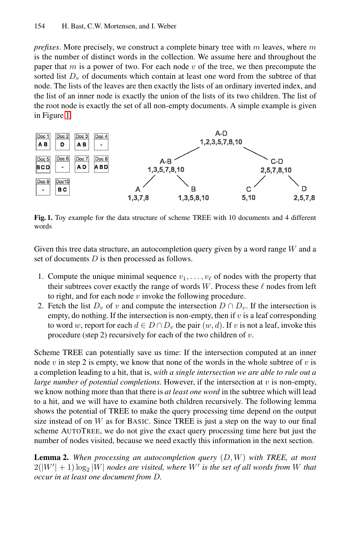*prefixes*. More precisely, we construct a complete binary tree with m leaves, where m is the number of distinct words in the collection. We assume here and throughout the paper that m is a power of two. For each node v of the tree, we then precompute the sorted list  $D<sub>v</sub>$  of documents which contain at least one word from the subtree of that node. The lists of the leaves are then exactly the lists of an ordinary inverted index, and the list of an inner node is exactly the union of the lists of its two children. The list of the root node is exactly the set of all non-empty documents. A simple example is given in Figure 1.



**Fig. 1.** Toy example for the data structure of scheme TREE with 10 documents and 4 different words

Given this tree data structure, an autocompletion query given by a word range  $W$  and a set of documents D is then processed as follows.

- 1. Compute the unique minimal sequence  $v_1, \ldots, v_\ell$  of nodes with the property that their subtrees cover exactly the range of words  $W$ . Process these  $\ell$  nodes from left to right, and for each node  $v$  invoke the following procedure.
- 2. Fetch the list  $D_v$  of v and compute the intersection  $D \cap D_v$ . If the intersection is empty, do nothing. If the intersection is non-empty, then if  $v$  is a leaf corresponding to word w, report for each  $d \in D \cap D_v$  the pair  $(w, d)$ . If v is not a leaf, invoke this procedure (step 2) recursively for each of the two children of  $v$ .

<span id="page-4-0"></span>Scheme TREE can potentially save us time: If the intersection computed at an inner node v in step 2 is empty, we know that none of the words in the whole subtree of v is a completion leading to a hit, that is, *with a single intersection we are able to rule out a large number of potential completions*. However, if the intersection at v is non-empty, we know nothing more than that there is *at least one word* in the subtree which will lead to a hit, and we will have to examine both children recursively. The following lemma shows the potential of TREE to make the query processing time depend on the output size instead of on  $W$  as for BASIC. Since TREE is just a step on the way to our final scheme AUTOTREE, we do not give the exact query processing time here but just the number of nodes visited, because we need exactly this information in the next section.

**Lemma 2.** *When processing an autocompletion query* (D,W) *with TREE, at most*  $2(|W'|+1)\log_2|W|$  nodes are visited, where  $W'$  is the set of all words from  $W$  that *occur in at least one document from* D*.*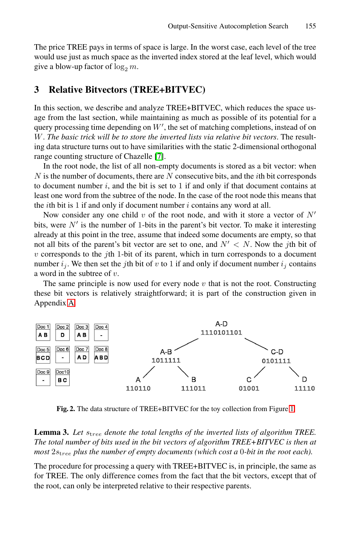<span id="page-5-0"></span>The price TREE pays in terms of space is large. In the worst case, each level of the tree would use just as much space as the inverted index stored at the leaf level, which would give a blow-up factor of  $\log_2 m$ .

# **3 Relative Bitvectors (TREE+BITVEC)**

In this section, we describe and analyze TREE+BITVEC, which reduces the space usage from the last section, while maintaining as much as possible of its potential for a query processing time depending on  $W'$ , the set of matching completions, instead of on W. *The basic trick will be to store the inverted lists via relative bit vectors*. The resulting data structure turns out to have similarities with the static 2-dimensional orthogonal range counting structure of Chazelle [7].

In the root node, the list of all non-empty documents is stored as a bit vector: when  $N$  is the number of documents, there are  $N$  consecutive bits, and the *i*th bit corresponds to document number  $i$ , and the bit is set to 1 if and only if that document contains at least one word from the subtree of the node. In the case of the root node this means that the *i*th bit is 1 if and only if document number  $i$  contains any word at all.

Now consider any one child  $v$  of the root node, and with it store a vector of  $N'$ bits, were  $N'$  is the number of 1-bits in the parent's bit vector. To make it interesting already at this point in the tree, assume that indeed some documents are empty, so that not all bits of the parent's bit vector are set to one, and  $N' < N$ . Now the jth bit of  $v$  corresponds to the *j*th 1-bit of its parent, which in turn corresponds to a document number  $i_j$ . We then set the jth bit of v to 1 if and only if document number  $i_j$  contains a word in the subtree of  $v$ .

The same principle is now used for every node  $v$  that is not the root. Constructing these bit vectors is relatively straightforward; it is part of the construction given in Appendix A.

<span id="page-5-1"></span>

**Fig. 2.** The data structure of TREE+BITVEC for the toy collection from Figure 1

**Lemma 3.** Let  $s_{tree}$  denote the total lengths of the inverted lists of algorithm TREE. *The total number of bits used in the bit vectors of algorithm TREE+BITVEC is then at most*  $2s$ <sub>tree</sub> plus the number of empty documents (which cost a 0-bit in the root each).

The procedure for processing a query with TREE+BITVEC is, in principle, the same as for TREE. The only difference comes from the fact that the bit vectors, except that of the root, can only be interpreted relative to their respective parents.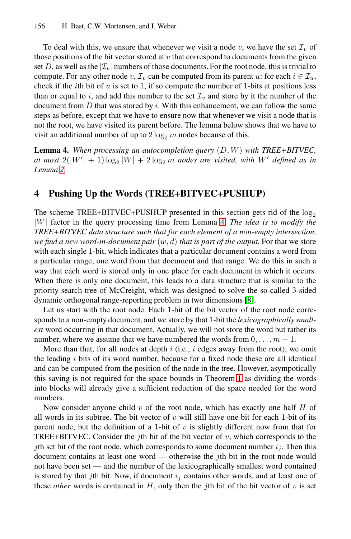<span id="page-6-1"></span>To deal with this, we ensure that whenever we visit a node v, we have the set  $\mathcal{I}_v$  of those positions of the bit vector stored at  $v$  that correspond to documents from the given set D, as well as the  $|\mathcal{I}_v|$  numbers of those documents. For the root node, this is trivial to compute. For any other node v,  $\mathcal{I}_v$  can be computed from its parent u: for each  $i \in \mathcal{I}_u$ , check if the *i*th bit of  $u$  is set to 1, if so compute the number of 1-bits at positions less than or equal to i, and add this number to the set  $\mathcal{I}_v$  and store by it the number of the document from  $D$  that was stored by i. With this enhancement, we can follow the same steps as before, except that we have to ensure now that whenever we visit a node that is not the root, we have visited its parent before. The lemma below shows that we have to visit an additional number of up to  $2 \log_2 m$  nodes because of this.

<span id="page-6-0"></span>**Lemma 4.** *When processing an au[toc](#page-6-1)ompletion query* (D,W) *with TREE+BITVEC, at most*  $2(|W'| + 1) \log_2 |W| + 2 \log_2 m$  *nodes are visited, with*  $W'$  *defined as in Lemma 2.*

## **4 Pushing Up the Words (TREE+BITVEC+PUSHUP)**

The scheme TREE+BITVEC+PUSHUP presented in this section gets rid of the  $log_2$ |W| factor in the query processing time fr[om](#page-11-3) Lemma 4. *The idea is to modify the TREE+BITVEC data structure such that for each element of a non-empty intersection, we find a new word-in-document pair* (w,d) *that is part of the output.* For that we store with each single 1-bit, which indicates that a particular document contains a word from a particular range, one word from that document and that range. We do this in such a way that each word is stored only in one place for each document in which it occurs. When there is only one document, this leads to a data structure that is similar to the priority search tree of McCreight, which was designed to solve the so-called 3-sided dynamic orthogonal range-reporting prob[lem](#page-1-1) in two dimensions [8].

Let us start with the root node. Each 1-bit of the bit vector of the root node corresponds to a non-empty document, and we store by that 1-bit the *lexicographically smallest* word occurring in that document. Actually, we will not store the word but rather its number, where we assume that we have numbered the words from  $0, \ldots, m - 1$ .

More than that, for all nodes at depth  $i$  (i.e.,  $i$  edges away from the root), we omit the leading  $i$  bits of its word number, because for a fixed node these are all identical and can be computed from the position of the node in the tree. However, asympotically this saving is not required for the space bounds in Theorem 1 as dividing the words into blocks will already give a sufficient reduction of the space needed for the word numbers.

Now consider anyone child  $v$  of the root node, which has exactly one half  $H$  of all words in its subtree. The bit vector of  $v$  will still have one bit for each 1-bit of its parent node, but the definition of a 1-bit of  $v$  is slightly different now from that for TREE+BITVEC. Consider the jth bit of the bit vector of  $v$ , which corresponds to the jth set bit of the root node, which corresponds to some document number  $i_j$ . Then this document contains at least one word — otherwise the jth bit in the root node would not have been set — and the number of the lexicographically smallest word contained is stored by that jth bit. Now, if document  $i_j$  contains other words, and at least one of these *other* words is contained in  $H$ , only then the *j*th bit of the bit vector of  $v$  is set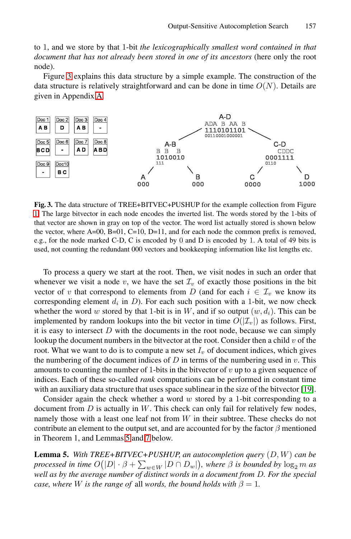to 1, and we store by that 1-bit *the lexicographically smallest word contained in that document that has not already been stored in one of its ancestors* (here only the root node).

Figure 3 explains this data structure by a simple example. The construction of the data structure is relatively straightforward and can be done in time  $O(N)$ . Details are given in Appendix A.



**Fig. 3.** The data structure of TREE+BITVEC+PUSHUP for the example collection from Figure 1. The large bitvector in each node encodes the inverted list. The words stored by the 1-bits of that vector are shown in gray on top of the vector. The word list actually stored is shown below the vector, where  $A=00$ ,  $B=01$ ,  $C=10$ ,  $D=11$ , and for each node the common prefix is removed, e.g., for the node marked C-D, C is encoded by 0 and D is encoded by 1. A total of 49 bits is used, not counting the redundant 000 vectors and bookkeeping information like list lengths etc.

To process a query we start at the root. Then, we visit nodes in such an order that whenever we visit a node v, we have the set  $\mathcal{I}_v$  of exactly those positions in the bit vector of v that correspond to elements from D (and for each  $i \in \mathcal{I}_v$  we know its corresponding element  $d_i$  in  $D$ ). For each such position with a 1-bit, we now check whether the word w stored by that 1-bit is in W, and if so o[utpu](#page-11-10)t  $(w, d<sub>i</sub>)$ . This can be implemented by random lookups into the bit vector in time  $O(|\mathcal{I}_v|)$  as follows. First, it is easy to intersect  $D$  with the documents in the root node, because we can simply lookup the document numbers in the bitvector at the root. Consider then a child  $v$  of the root. What we want to do is to compute a new set  $I<sub>v</sub>$  of document indices, which gives the nu[mb](#page-7-0)erin[g](#page-8-2) of the document indices of D in terms of the numbering used in  $v$ . This amounts to counting the number of 1-bits in the bitvector of  $v$  up to a given sequence of indices. Each of these so-called *rank* computations can be performed in constant time with an auxiliary data structure that uses space sublinear in the size of the bitvector [19].

<span id="page-7-1"></span><span id="page-7-0"></span>Consider again the check whether a word  $w$  stored by a 1-bit corresponding to a document from  $D$  is actually in  $W$ . This check can only fail for relatively few nodes, namely those with a least one leaf not from  $W$  in their subtree. These checks do not contribute an element to the output set, and are accounted for by the factor  $\beta$  mentioned in Theorem 1, and Lemmas 5 and 7 below.

**Lemma 5.** *With TREE+BITVEC+PUSHUP, an autocompletion query* (D,W) *can be processed in time*  $O(|D| \cdot \beta + \sum_{w \in W} |D \cap D_w|)$ , where  $\beta$  *is bounded by*  $\log_2 m$  *as well as by the average number of distinct words in a document from* D*. For the special case, where* W *is the range of* all *words, the bound holds with*  $\beta = 1$ *.*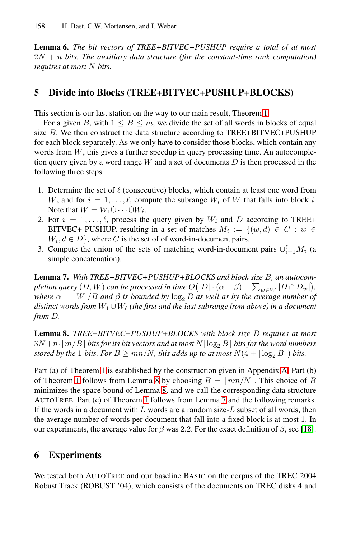<span id="page-8-1"></span>**Lemma 6.** *The bit vectors of TREE+BITVEC+PUSHUP require a total of at most* 2N + n *bits. The auxiliary data structure (for the constant-time rank computation) requires at most* N *bits.*

## **5 Divide into Blocks (TREE+BITVEC+PUSHUP+BLOCKS)**

This section is our last station on the way to our main result, Theorem 1.

For a given B, with  $1 \leq B \leq m$ , we divide the set of all words in blocks of equal size  $B$ . We then construct the data structure according to TREE+BITVEC+PUSHUP for each block separately. As we only have to consider those blocks, which contain any words from  $W$ , this gives a further speedup in query processing time. An autocompletion query given by a word range  $W$  and a set of documents  $D$  is then processed in the following three steps.

- <span id="page-8-2"></span>1. Determine the set of  $\ell$  (consecutive) blocks, which contain at least one word from W, and for  $i = 1, \ldots, \ell$ , compute the subrange  $W_i$  of W that falls into block i. Note that  $W = W_1 \dot{\cup} \cdots \dot{\cup} W_{\ell}$ .
- 2. For  $i = 1, \ldots, \ell$ , process the query given by  $W_i$  and D according to TREE+ BITVEC+ PUSHUP, resulting in a set of matches  $M_i := \{(w, d) \in C : w \in$  $W_i, d \in D$ , where C is the set of of word-in-document pairs.
- 3. Compute the union of the sets of matching word-in-document pairs  $\bigcup_{i=1}^{\ell} M_i$  (a simple concatenation).

<span id="page-8-3"></span>**Lemma 7.** *With TREE+BITVEC+PUSHUP+BLOCKS and block size* B*, an autocompletion query*  $(D, W)$  *can be processed in time*  $O(|D| \cdot (\alpha + \beta) + \sum_{w \in W} |D \cap D_w|)$ , *[w](#page-1-1)here*  $\alpha = |W|/B$  *and*  $\beta$  *is bounded by*  $\log_2 B$  *as w[ell](#page-11-0) as by the average number of*  $d$ istinct words fr[om](#page-8-3)  $W_1\cup W_\ell$  (the first and the last subrange from above) in a document *from* D*.*

**Lemma 8.** *TREE+BITVEC+PUSHUP+BLOCKS with block size* B *requires at most*  $3N + n \cdot [m/B]$  *bits for its bit vectors and at most*  $N[\log_2 B]$  *bits for the word numbers stored by the* 1*-bits. For*  $B \ge mn/N$  $B \ge mn/N$ *, this adds up to at most*  $N(4 + \lceil \log_2 B \rceil)$  *bits.* 

<span id="page-8-0"></span>Part (a) of Theorem 1 is established by the construction given in Appendix A. Part (b) of Theorem 1 follows from Lemma 8 by choosing  $B = \lceil nm/N \rceil$ . This choice of B minimizes the space bound of Lemma 8, and we call the corresponding data structure AUTOTREE. Part (c) of Theorem 1 follows from Lemma 7 and the following remarks. If the words in a document with  $L$  words are a random size- $L$  subset of all words, then the average number of words per document that fall into a fixed block is at most 1. In our experiments, the average value for  $\beta$  was 2.2. For the exact definition of  $\beta$ , see [18].

### **6 Experiments**

We tested both AUTOTREE and our baseline BASIC on the corpus of the TREC 2004 Robust Track (ROBUST '04), which consists of the documents on TREC disks 4 and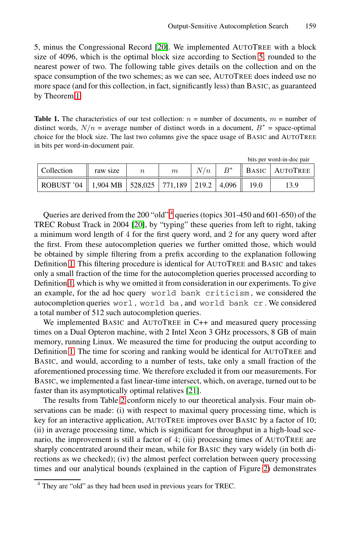5, minus the Congressional Record [20]. We implemented AUTOTREE with a block size of 4096, which is the optimal block size according to Section 5, rounded to the nearest power of two. The following table gives details on the collection and on the space consumption of the two schemes; as we can see, AUTOTREE does indeed use no more space (and for this collection, in fact, significantly less) than BASIC, as guaranteed by Theorem 1.

**Table 1.** The characteristics of our test collection:  $n =$  number of documents,  $m =$  number of distinct words,  $N/n$  = average number of distinct words in a document,  $B^*$  = space-optimal choice for the block si[ze](#page-9-0). The last two columns give the space usage of BASIC and AUTOTREE in bits per [wor](#page-11-11)d-in-document pair.

| bits per word-in-doc pair                                  |          |                  |       |     |       |      |                  |
|------------------------------------------------------------|----------|------------------|-------|-----|-------|------|------------------|
| Collection                                                 | raw size | $\boldsymbol{n}$ | $m\,$ | N/n | $B^*$ |      | BASIC   AUTOTREE |
| ROBUST '04    1,904 MB   528,025   771,189   219.2   4,096 |          |                  |       |     |       | 19.0 | 13.9             |

Queries are derived from the 200 "old" <sup>4</sup> queries (topics 301-450 and 601-650) of the TREC Robust Track in 2004 [20], by "typing" these queries from left to right, taking a minimum word length of 4 for the first query word, and 2 for any query word after the first. From these autocompletion queries we further omitted those, which would be obtained by simple filtering from a prefix according to the explanation following Definition 1. This filtering procedure is identical for AUTOTREE and BASIC and takes only a small fraction of the time for the autocompletion queries processed according to Definition 1, which is why we omitted it from consideration in our experiments. To give an example, for the ad hoc query world bank criticism , we considered the autocompletion queries worl , world ba , and world bank cr . We considered a total number of 512 suc[h au](#page-11-12)tocompletion queries.

W[e i](#page-10-5)mplemented BASIC and AUTOTREE in C++ and measured query processing times on a Dual Opteron machine, with 2 Intel Xeon 3 GHz processors, 8 GB of main memory, running Linux. We measured the time for producing the output according to Definition 1. The time for scoring and ranking would be identical for AUTOTREE and BASIC, and would, according to a number of tests, take only a small fraction of the aforementioned processing time. We therefore excluded it from our measurements. For BASIC, we implemented a fast linear-time intersect, which, on average, turned out to be faster than its asymptotically optimal relatives [2[1\].](#page-10-5)

<span id="page-9-0"></span>The results from Table 2 conform nicely to our theoretical analysis. Four main observations can be made: (i) with respect to maximal query processing time, which is key for an interactive application, AUTOTREE improves over BASIC by a factor of 10; (ii) in average processing time, which is significant for throughput in a high-load scenario, the improvement is still a factor of 4; (iii) processing times of AUTOTREE are sharply concentrated around their mean, while for BASIC they vary widely (in both directions as we checked); (iv) the almost perfect correlation between query processing times and our analytical bounds (explained in the caption of Figure 2) demonstrates

<sup>4</sup> They are "old" as they had been used in previous years for TREC.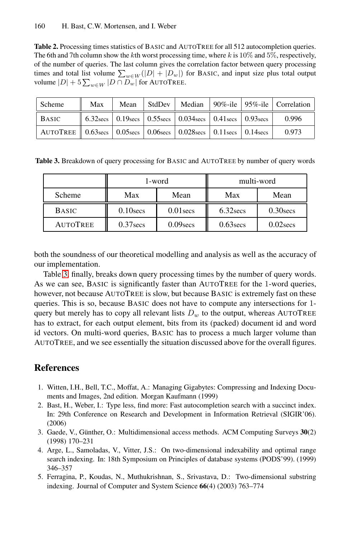<span id="page-10-5"></span>**Table 2.** Processing times statistics of BASIC and AUTOTREE for all 512 autocompletion queries. The 6th and 7th column show the kth worst processing time, where k is  $10\%$  and  $5\%$ , respectively, of the number of queries. The last column gives the correlation factor between query processing times and total list volume  $\sum_{w \in W} (|D| + |D_w|)$  for BASIC, and input size plus total output volume  $|D| + 5\sum_{w \in W} |D \cap D_w|$  for AUTOTREE.

| <b>Scheme</b>                                                                     | Max |  |                                                                        |  | Mean   StdDev   Median   90%-ile   95%-ile   Correlation |
|-----------------------------------------------------------------------------------|-----|--|------------------------------------------------------------------------|--|----------------------------------------------------------|
| BASIC                                                                             |     |  | 6.32 secs   0.19 secs   0.55 secs   0.034 secs   0.41 secs   0.93 secs |  | 0.996                                                    |
| AUTOTREE   0.63 secs   0.05 secs   0.06 secs   0.028 secs   0.11 secs   0.14 secs |     |  |                                                                        |  | 0.973                                                    |

**Table 3.** Breakdown of query processing for BASIC and AUTOTREE by number of query words

|                 |             | 1-word               | multi-word  |             |  |
|-----------------|-------------|----------------------|-------------|-------------|--|
| Scheme          | Max         | Mean                 | Max         | Mean        |  |
| <b>BASIC</b>    | $0.10$ secs | $0.01$ secs          | $6.32$ secs | $0.30$ secs |  |
| <b>AUTOTREE</b> | $0.37$ secs | 0.09 <sub>secs</sub> | $0.63$ secs | $0.02$ secs |  |

both the soundness of our theoretical modelling and analysis as well as the accuracy of our implementation.

<span id="page-10-0"></span>Table 3, finally, breaks down query processing times by the number of query words. As we can see, BASIC is significantly faster than AUTOTREE for the 1-word queries, however, not because AUTOTREE is slow, but because BASIC is extremely fast on these queries. This is so, because BASIC does not have to compute any intersections for 1 query but merely has to copy all relevant lists  $D_w$  to the output, whereas AUTOTREE has to extract, for each output element, bits from its (packed) document id and word id vectors. On multi-word queries, BASIC has to process a much larger volume than AUTOTREE, and we see essentially the situation discussed above for the overall figures.

# <span id="page-10-4"></span><span id="page-10-3"></span><span id="page-10-2"></span><span id="page-10-1"></span>**References**

- 1. Witten, I.H., Bell, T.C., Moffat, A.: Managing Gigabytes: Compressing and Indexing Documents and Images, 2nd edition. Morgan Kaufmann (1999)
- 2. Bast, H., Weber, I.: Type less, find more: Fast autocompletion search with a succinct index. In: 29th Conference on Research and Development in Information Retrieval (SIGIR'06). (2006)
- 3. Gaede, V., Günther, O.: Multidimensional access methods. ACM Computing Surveys  $30(2)$ (1998) 170–231
- 4. Arge, L., Samoladas, V., Vitter, J.S.: On two-dimensional indexability and optimal range search indexing. In: 18th Symposium on Principles of database systems (PODS'99). (1999) 346–357
- 5. Ferragina, P., Koudas, N., Muthukrishnan, S., Srivastava, D.: Two-dimensional substring indexing. Journal of Computer and System Science **66**(4) (2003) 763–774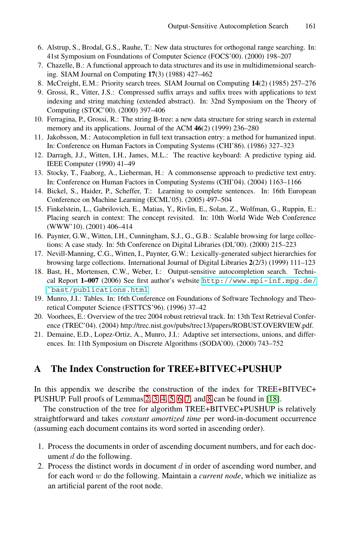- <span id="page-11-5"></span><span id="page-11-4"></span><span id="page-11-3"></span><span id="page-11-2"></span><span id="page-11-1"></span>6. Alstrup, S., Brodal, G.S., Rauhe, T.: New data structures for orthogonal range searching. In: 41st Symposium on Foundations of Computer Science (FOCS'00). (2000) 198–207
- <span id="page-11-6"></span>7. Chazelle, B.: A functional approach to data structures and its use in multidimensional searching. SIAM Journal on Computing **17**(3) (1988) 427–462
- 8. McCreight, E.M.: Priority search trees. SIAM Journal on Computing **14**(2) (1985) 257–276
- <span id="page-11-7"></span>9. Grossi, R., Vitter, J.S.: Compressed suffix arrays and suffix trees with applications to text indexing and string matching (extended abstract). In: 32nd Symposium on the Theory of Computing (STOC'00). (2000) 397–406
- <span id="page-11-8"></span>10. Ferragina, P., Grossi, R.: The string B-tree: a new data structure for string search in external memory and its applications. Journal of the ACM **46**(2) (1999) 236–280
- 11. Jakobsson, M.: Autocompletion in full text transaction entry: a method for humanized input. In: Conference on Human Factors in Computing Systems (CHI'86). (1986) 327–323
- 12. Darragh, J.J., Witten, I.H., James, M.L.: The reactive keyboard: A predictive typing aid. IEEE Computer (1990) 41–49
- 13. Stocky, T., Faaborg, A., Lieberman, H.: A commonsense approach to predictive text entry. In: Conference on Human Factors in Computing Systems (CHI'04). (2004) 1163–1166
- <span id="page-11-9"></span>14. Bickel, S., Haider, P., Scheffer, T.: Learning to complete sentences. In: 16th European Conference on Machine Learning (ECML'05). (2005) 497–504
- <span id="page-11-10"></span>15. Finkelstein, L., Gabrilovich, [E.,](http://www.mpi-inf.mpg.de/~bast/publications.html) [Matias,](http://www.mpi-inf.mpg.de/~bast/publications.html) [Y.,](http://www.mpi-inf.mpg.de/~bast/publications.html) [Rivlin,](http://www.mpi-inf.mpg.de/~bast/publications.html) [E.,](http://www.mpi-inf.mpg.de/~bast/publications.html) [Solan,](http://www.mpi-inf.mpg.de/~bast/publications.html) [Z.,](http://www.mpi-inf.mpg.de/~bast/publications.html) [Wo](http://www.mpi-inf.mpg.de/~bast/publications.html)lfman, G., Ruppin, E.: [Placing](http://www.mpi-inf.mpg.de/~bast/publications.html) [sear](http://www.mpi-inf.mpg.de/~bast/publications.html)ch in context: The concept revisited. In: 10th World Wide Web Conference (WWW'10). (2001) 406–414
- <span id="page-11-11"></span>16. Paynter, G.W., Witten, I.H., Cunningham, S.J., G., G.B.: Scalable browsing for large collections: A case study. In: 5th Conference on Digital Libraries (DL'00). (2000) 215–223
- <span id="page-11-12"></span>17. Nevill-Manning, C.G., Witten, I., Paynter, G.W.: Lexically-generated subject hierarchies for browsing large collections. International Journal of Digital Libraries **2**(2/3) (1999) 111–123
- <span id="page-11-0"></span>18. Bast, H., Mortensen, C.W., Weber, I.: Output-sensitive autocompletion search. Technical Report **1–007** (2006) See first author's website http://www.mpi-inf.mpg.de/ ˜bast/publications.html.
- 19. Munro, J.I.: Tables. In: 16th Conference on Foundations of Software Technology and Theoretical Computer Science (FSTTCS'96). (1996) 37–42
- 20. Voorhees, E.: Overview of the trec 2004 robust retrieval track. In: 13th Text Retrieval Conference (TR[EC](#page-4-0)['04](#page-5-1)[\).](#page-6-1) [\(20](#page-7-0)[04](#page-7-1)[\) h](#page-8-2)ttp://[tre](#page-8-3)c.nist.gov/pubs/tre[c13/](#page-11-9)papers/ROBUST.OVERVIEW.pdf.
- 21. Demaine, E.D., Lopez-Ortiz, A., Munro, J.I.: Adaptive set intersections, unions, and differences. In: 11th Symposium on Discrete Algorithms (SODA'00). (2000) 743–752

## **A The Index Construction for TREE+BITVEC+PUSHUP**

In this appendix we describe the construction of the index for TREE+BITVEC+ PUSHUP. Full proofs of Lemmas 2, 3, 4, 5, 6, 7, and 8 can be found in [18].

The construction of the tree for algorithm TREE+BITVEC+PUSHUP is relatively straightforward and takes *constant amortized time* per word-in-document occurrence (assuming each document contains its word sorted in ascending order).

- 1. Process the documents in order of ascending document numbers, and for each document  $d$  do the following.
- 2. Process the distinct words in document d in order of ascending word number, and for each word w do the following. Maintain a *current node*, which we initialize as an artificial parent of the root node.